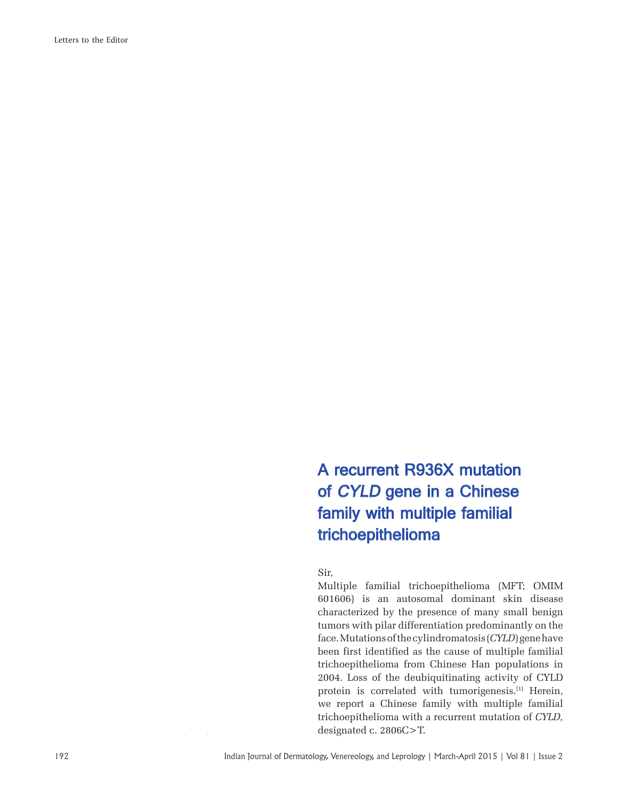Letters to the Editor

## A recurrent R936X mutation of CYLD gene in a Chinese family with multiple familial trichoepithelioma

Sir,

Multiple familial trichoepithelioma (MFT; OMIM 601606) is an autosomal dominant skin disease characterized by the presence of many small benign tumors with pilar differentiation predominantly on the face. Mutations of the cylindromatosis (*CYLD*) gene have been first identified as the cause of multiple familial trichoepithelioma from Chinese Han populations in 2004. Loss of the deubiquitinating activity of CYLD protein is correlated with tumorigenesis.<sup>[1]</sup> Herein, we report a Chinese family with multiple familial trichoepithelioma with a recurrent mutation of *CYLD,*  designated c. 2806C>T.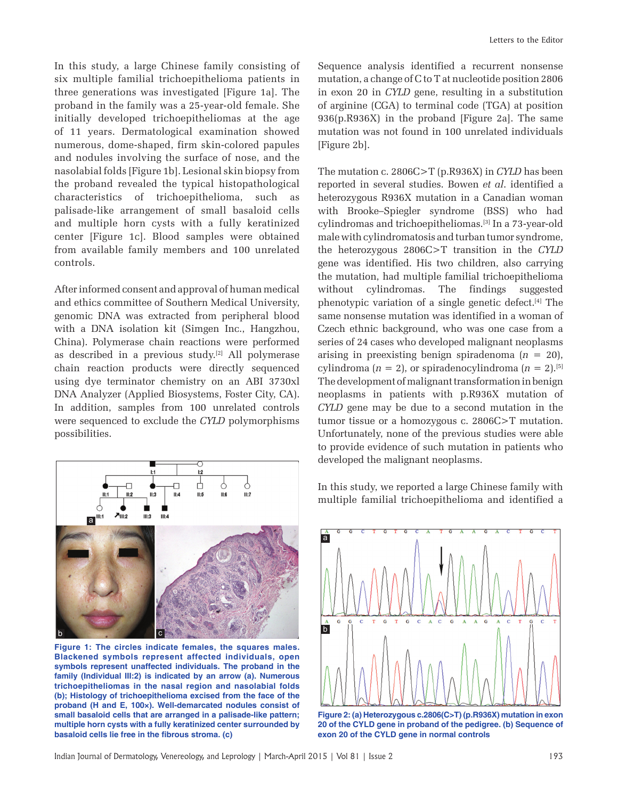In this study, a large Chinese family consisting of six multiple familial trichoepithelioma patients in three generations was investigated [Figure 1a]. The proband in the family was a 25-year-old female. She initially developed trichoepitheliomas at the age of 11 years. Dermatological examination showed numerous, dome-shaped, firm skin-colored papules and nodules involving the surface of nose, and the nasolabial folds [Figure 1b]. Lesional skin biopsy from the proband revealed the typical histopathological characteristics of trichoepithelioma, such as palisade-like arrangement of small basaloid cells and multiple horn cysts with a fully keratinized center [Figure 1c]. Blood samples were obtained from available family members and 100 unrelated controls.

After informed consent and approval of human medical and ethics committee of Southern Medical University, genomic DNA was extracted from peripheral blood with a DNA isolation kit (Simgen Inc., Hangzhou, China). Polymerase chain reactions were performed as described in a previous study.<sup>[2]</sup> All polymerase chain reaction products were directly sequenced using dye terminator chemistry on an ABI 3730xl DNA Analyzer (Applied Biosystems, Foster City, CA). In addition, samples from 100 unrelated controls were sequenced to exclude the *CYLD* polymorphisms possibilities.



**Figure 1: The circles indicate females, the squares males. Blackened symbols represent affected individuals, open symbols represent unaffected individuals. The proband in the family (Individual III:2) is indicated by an arrow (a). Numerous trichoepitheliomas in the nasal region and nasolabial folds (b); Histology of trichoepithelioma excised from the face of the proband (H and E, 100×). Well-demarcated nodules consist of small basaloid cells that are arranged in a palisade-like pattern; multiple horn cysts with a fully keratinized center surrounded by**  basaloid cells lie free in the fibrous stroma. (c)

Sequence analysis identified a recurrent nonsense mutation, a change of C to T at nucleotide position 2806 in exon 20 in *CYLD* gene, resulting in a substitution of arginine (CGA) to terminal code (TGA) at position 936(p.R936X) in the proband [Figure 2a]. The same mutation was not found in 100 unrelated individuals [Figure 2b].

The mutation c. 2806C>T (p.R936X) in *CYLD* has been reported in several studies. Bowen *et al*. identified a heterozygous R936X mutation in a Canadian woman with Brooke–Spiegler syndrome (BSS) who had cylindromas and trichoepitheliomas.[3] In a 73-year-old male with cylindromatosis and turban tumor syndrome, the heterozygous 2806C>T transition in the *CYLD* gene was identified. His two children, also carrying the mutation, had multiple familial trichoepithelioma without cylindromas. The findings suggested phenotypic variation of a single genetic defect.[4] The same nonsense mutation was identified in a woman of Czech ethnic background, who was one case from a series of 24 cases who developed malignant neoplasms arising in preexisting benign spiradenoma  $(n = 20)$ , cylindroma  $(n = 2)$ , or spiradenocylindroma  $(n = 2)$ .<sup>[5]</sup> The development of malignant transformation in benign neoplasms in patients with p.R936X mutation of *CYLD* gene may be due to a second mutation in the tumor tissue or a homozygous c. 2806C>T mutation. Unfortunately, none of the previous studies were able to provide evidence of such mutation in patients who developed the malignant neoplasms.

In this study, we reported a large Chinese family with multiple familial trichoepithelioma and identified a



**Figure 2: (a) Heterozygous c.2806(C>T) (p.R936X) mutation in exon 20 of the CYLD gene in proband of the pedigree. (b) Sequence of exon 20 of the CYLD gene in normal controls**